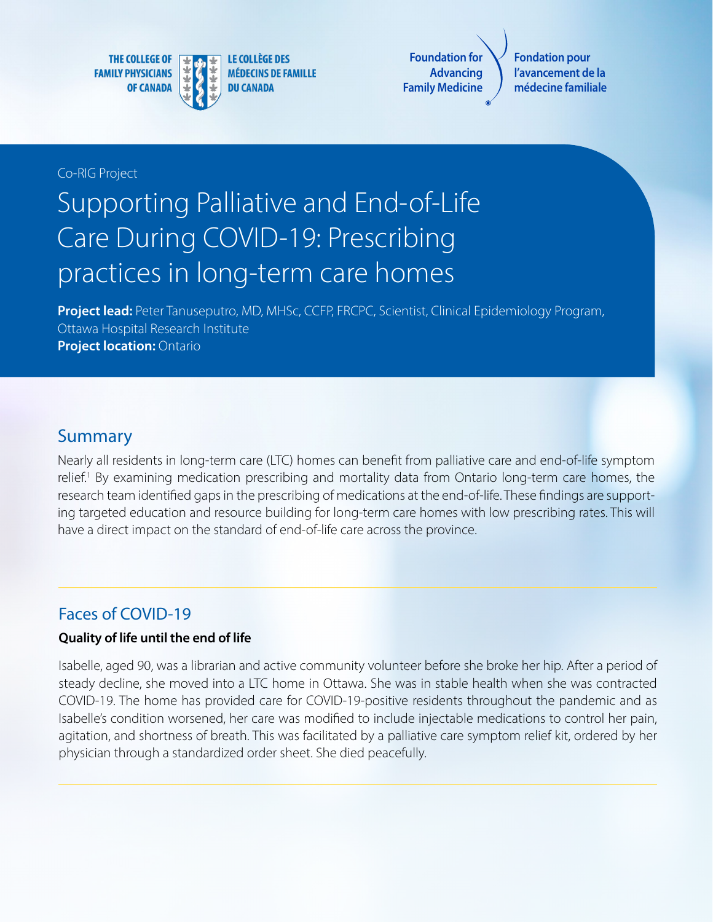**THE COLLEGE OF FAMILY PHYSICIANS OF CANADA** 



**LE COLLÈGE DES MÉDECINS DE FAMILLE DU CANADA** 

**Foundation for Advancing Family Medicine**

**Fondation pour l'avancement de la médecine familiale**

#### Co-RIG Project

## Supporting Palliative and End-of-Life Care During COVID-19: Prescribing practices in long-term care homes

**Project lead:** Peter Tanuseputro, MD, MHSc, CCFP, FRCPC, Scientist, Clinical Epidemiology Program, Ottawa Hospital Research Institute **Project location: Ontario** 

#### Summary

Nearly all residents in long-term care (LTC) homes can benefit from palliative care and end-of-life symptom relief.<sup>1</sup> By examining medication prescribing and mortality data from Ontario long-term care homes, the research team identified gaps in the prescribing of medications at the end-of-life. These findings are supporting targeted education and resource building for long-term care homes with low prescribing rates. This will have a direct impact on the standard of end-of-life care across the province.

## Faces of COVID-19

#### **Quality of life until the end of life**

Isabelle, aged 90, was a librarian and active community volunteer before she broke her hip. After a period of steady decline, she moved into a LTC home in Ottawa. She was in stable health when she was contracted COVID-19. The home has provided care for COVID-19-positive residents throughout the pandemic and as Isabelle's condition worsened, her care was modified to include injectable medications to control her pain, agitation, and shortness of breath. This was facilitated by a palliative care symptom relief kit, ordered by her physician through a standardized order sheet. She died peacefully.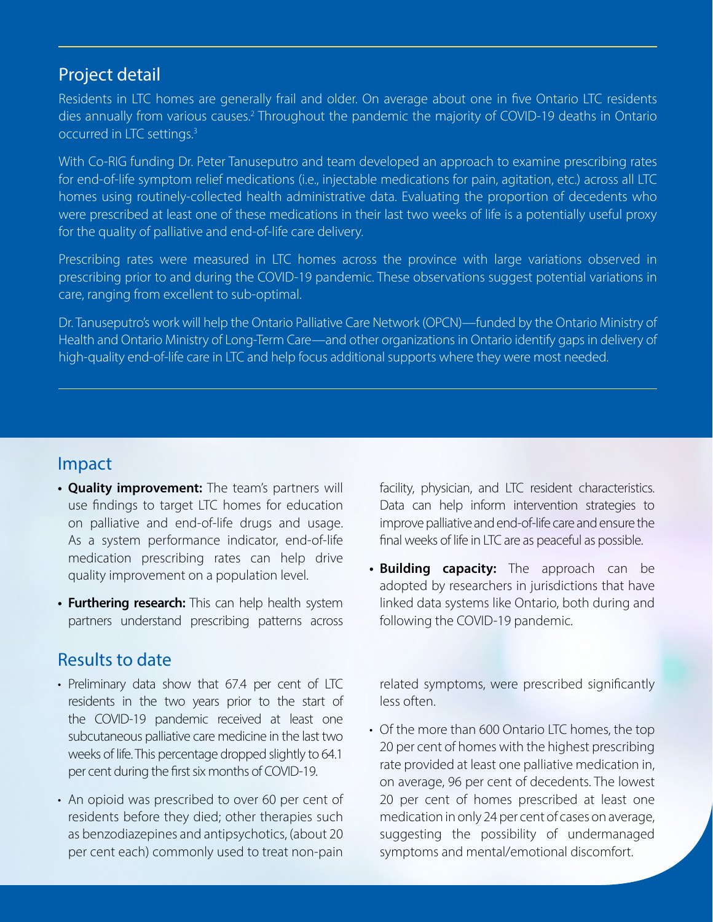## Project detail

Residents in LTC homes are generally frail and older. On average about one in five Ontario LTC residents dies annually from various causes.<sup>2</sup> Throughout the pandemic the majority of COVID-19 deaths in Ontario occurred in LTC settings.3

With Co-RIG funding Dr. Peter Tanuseputro and team developed an approach to examine prescribing rates for end-of-life symptom relief medications (i.e., injectable medications for pain, agitation, etc.) across all LTC homes using routinely-collected health administrative data. Evaluating the proportion of decedents who were prescribed at least one of these medications in their last two weeks of life is a potentially useful proxy for the quality of palliative and end-of-life care delivery.

Prescribing rates were measured in LTC homes across the province with large variations observed in prescribing prior to and during the COVID-19 pandemic. These observations suggest potential variations in care, ranging from excellent to sub-optimal.

Dr. Tanuseputro's work will help the Ontario Palliative Care Network (OPCN)—funded by the Ontario Ministry of Health and Ontario Ministry of Long-Term Care—and other organizations in Ontario identify gaps in delivery of high-quality end-of-life care in LTC and help focus additional supports where they were most needed.

#### Impact

- **• Quality improvement:** The team's partners will use findings to target LTC homes for education on palliative and end-of-life drugs and usage. As a system performance indicator, end-of-life medication prescribing rates can help drive quality improvement on a population level.
- **• Furthering research:** This can help health system partners understand prescribing patterns across

## Results to date

- Preliminary data show that 67.4 per cent of LTC residents in the two years prior to the start of the COVID-19 pandemic received at least one subcutaneous palliative care medicine in the last two weeks of life. This percentage dropped slightly to 64.1 per cent during the first six months of COVID-19.
- An opioid was prescribed to over 60 per cent of residents before they died; other therapies such as benzodiazepines and antipsychotics, (about 20 per cent each) commonly used to treat non-pain

facility, physician, and LTC resident characteristics. Data can help inform intervention strategies to improve palliative and end-of-life care and ensure the final weeks of life in LTC are as peaceful as possible.

**• Building capacity:** The approach can be adopted by researchers in jurisdictions that have linked data systems like Ontario, both during and following the COVID-19 pandemic.

related symptoms, were prescribed significantly less often.

• Of the more than 600 Ontario LTC homes, the top 20 per cent of homes with the highest prescribing rate provided at least one palliative medication in, on average, 96 per cent of decedents. The lowest 20 per cent of homes prescribed at least one medication in only 24 per cent of cases on average, suggesting the possibility of undermanaged symptoms and mental/emotional discomfort.